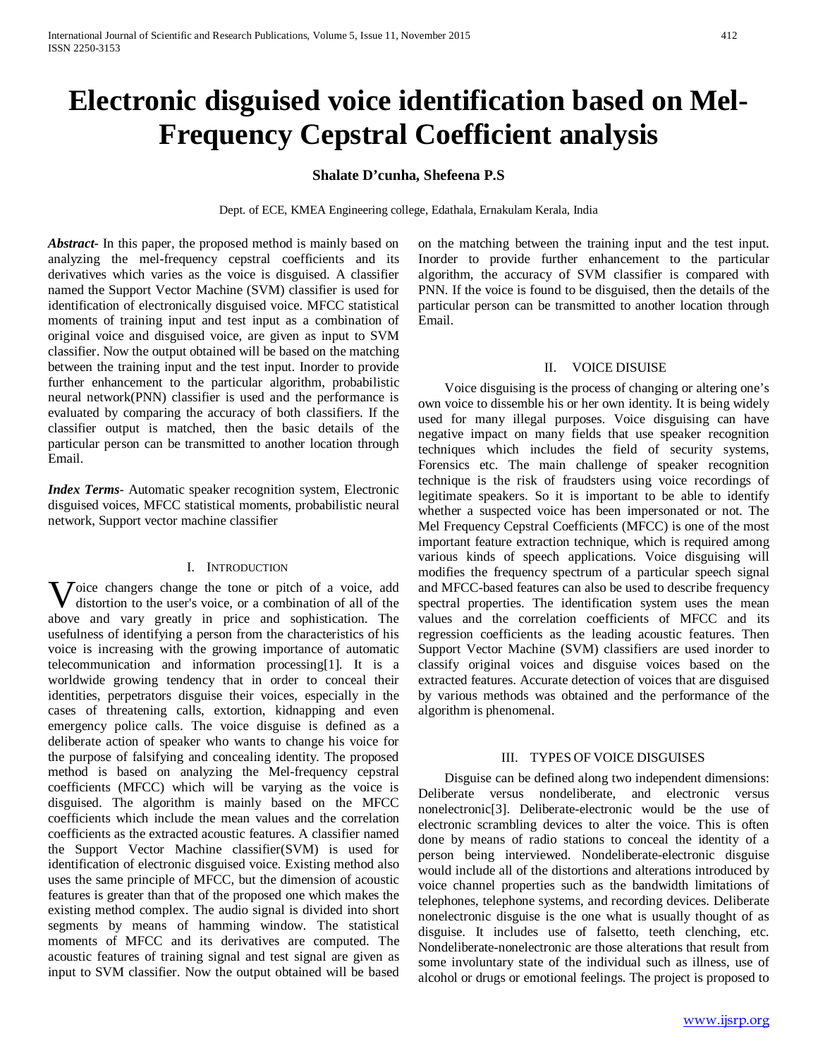# **Electronic disguised voice identification based on Mel-Frequency Cepstral Coefficient analysis**

## **Shalate D'cunha, Shefeena P.S**

Dept. of ECE, KMEA Engineering college, Edathala, Ernakulam Kerala, India

*Abstract***-** In this paper, the proposed method is mainly based on analyzing the mel-frequency cepstral coefficients and its derivatives which varies as the voice is disguised. A classifier named the Support Vector Machine (SVM) classifier is used for identification of electronically disguised voice. MFCC statistical moments of training input and test input as a combination of original voice and disguised voice, are given as input to SVM classifier. Now the output obtained will be based on the matching between the training input and the test input. Inorder to provide further enhancement to the particular algorithm, probabilistic neural network(PNN) classifier is used and the performance is evaluated by comparing the accuracy of both classifiers. If the classifier output is matched, then the basic details of the particular person can be transmitted to another location through Email.

*Index Terms*- Automatic speaker recognition system, Electronic disguised voices, MFCC statistical moments, probabilistic neural network, Support vector machine classifier

## I. INTRODUCTION

Voice changers change the tone or pitch of a voice, add distortion to the user's voice, or a combination of all of the distortion to the user's voice, or a combination of all of the above and vary greatly in price and sophistication. The usefulness of identifying a person from the characteristics of his voice is increasing with the growing importance of automatic telecommunication and information processing[1]. It is a worldwide growing tendency that in order to conceal their identities, perpetrators disguise their voices, especially in the cases of threatening calls, extortion, kidnapping and even emergency police calls. The voice disguise is defined as a deliberate action of speaker who wants to change his voice for the purpose of falsifying and concealing identity. The proposed method is based on analyzing the Mel-frequency cepstral coefficients (MFCC) which will be varying as the voice is disguised. The algorithm is mainly based on the MFCC coefficients which include the mean values and the correlation coefficients as the extracted acoustic features. A classifier named the Support Vector Machine classifier(SVM) is used for identification of electronic disguised voice. Existing method also uses the same principle of MFCC, but the dimension of acoustic features is greater than that of the proposed one which makes the existing method complex. The audio signal is divided into short segments by means of hamming window. The statistical moments of MFCC and its derivatives are computed. The acoustic features of training signal and test signal are given as input to SVM classifier. Now the output obtained will be based

on the matching between the training input and the test input. Inorder to provide further enhancement to the particular algorithm, the accuracy of SVM classifier is compared with PNN. If the voice is found to be disguised, then the details of the particular person can be transmitted to another location through Email.

## II. VOICE DISUISE

 Voice disguising is the process of changing or altering one's own voice to dissemble his or her own identity. It is being widely used for many illegal purposes. Voice disguising can have negative impact on many fields that use speaker recognition techniques which includes the field of security systems, Forensics etc. The main challenge of speaker recognition technique is the risk of fraudsters using voice recordings of legitimate speakers. So it is important to be able to identify whether a suspected voice has been impersonated or not. The Mel Frequency Cepstral Coefficients (MFCC) is one of the most important feature extraction technique, which is required among various kinds of speech applications. Voice disguising will modifies the frequency spectrum of a particular speech signal and MFCC-based features can also be used to describe frequency spectral properties. The identification system uses the mean values and the correlation coefficients of MFCC and its regression coefficients as the leading acoustic features. Then Support Vector Machine (SVM) classifiers are used inorder to classify original voices and disguise voices based on the extracted features. Accurate detection of voices that are disguised by various methods was obtained and the performance of the algorithm is phenomenal.

## III. TYPES OF VOICE DISGUISES

 Disguise can be defined along two independent dimensions: Deliberate versus nondeliberate, and electronic versus nonelectronic[3]. Deliberate-electronic would be the use of electronic scrambling devices to alter the voice. This is often done by means of radio stations to conceal the identity of a person being interviewed. Nondeliberate-electronic disguise would include all of the distortions and alterations introduced by voice channel properties such as the bandwidth limitations of telephones, telephone systems, and recording devices. Deliberate nonelectronic disguise is the one what is usually thought of as disguise. It includes use of falsetto, teeth clenching, etc. Nondeliberate-nonelectronic are those alterations that result from some involuntary state of the individual such as illness, use of alcohol or drugs or emotional feelings. The project is proposed to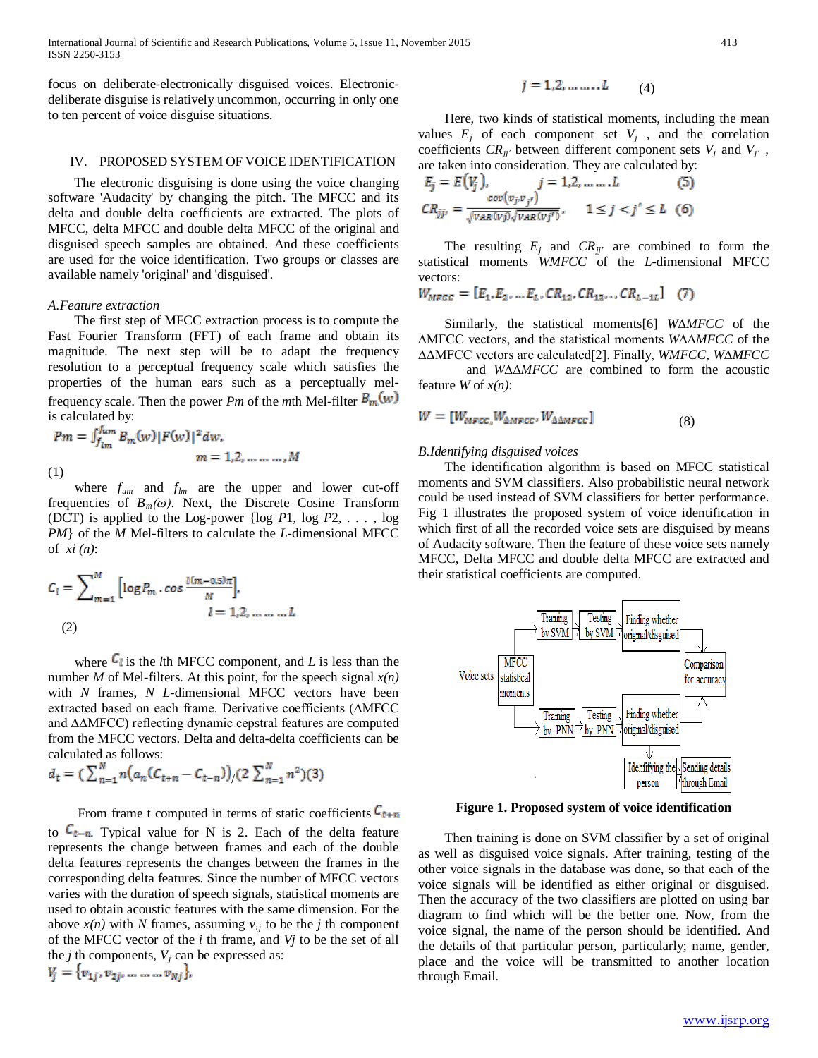International Journal of Scientific and Research Publications, Volume 5, Issue 11, November 2015 413 ISSN 2250-3153

focus on deliberate-electronically disguised voices. Electronicdeliberate disguise is relatively uncommon, occurring in only one to ten percent of voice disguise situations.

## IV. PROPOSED SYSTEM OF VOICE IDENTIFICATION

 The electronic disguising is done using the voice changing software 'Audacity' by changing the pitch. The MFCC and its delta and double delta coefficients are extracted. The plots of MFCC, delta MFCC and double delta MFCC of the original and disguised speech samples are obtained. And these coefficients are used for the voice identification. Two groups or classes are available namely 'original' and 'disguised'.

#### *A.Feature extraction*

 The first step of MFCC extraction process is to compute the Fast Fourier Transform (FFT) of each frame and obtain its magnitude. The next step will be to adapt the frequency resolution to a perceptual frequency scale which satisfies the properties of the human ears such as a perceptually melfrequency scale. Then the power *Pm* of the *m*th Mel-filter  $B_m(w)$ is calculated by:

$$
Pm = \int_{f_{lm}}^{h_{lm}} B_m(w) |F(w)|^2 dw,
$$
  
\n
$$
m = 1, 2, \dots \dots \dots M
$$
  
\n(1)

 where *fum* and *flm* are the upper and lower cut-off frequencies of  $B_m(\omega)$ . Next, the Discrete Cosine Transform (DCT) is applied to the Log-power {log *P*1*,* log *P*2*, . . . ,* log *PM*} of the *M* Mel-filters to calculate the *L*-dimensional MFCC of *xi (n)*:

$$
C_l = \sum_{m=1}^{M} \left[ \log P_m \cdot \cos \frac{l(m-0.5)\pi}{M} \right],
$$
  
(2) 
$$
l = 1, 2, \dots \dots \dots L
$$

where  $\mathcal{C}_l$  is the *l*th MFCC component, and *L* is less than the number *M* of Mel-filters. At this point, for the speech signal  $x(n)$ with *N* frames, *N L*-dimensional MFCC vectors have been extracted based on each frame. Derivative coefficients (∆MFCC and ∆∆MFCC) reflecting dynamic cepstral features are computed from the MFCC vectors. Delta and delta-delta coefficients can be calculated as follows:

$$
d_t = (\sum_{n=1}^{N} n (a_n (C_{t+n} - C_{t-n})) / (2 \sum_{n=1}^{N} n^2) (3)
$$

From frame t computed in terms of static coefficients  $C_{t+m}$ to  $C_{t-n}$ . Typical value for N is 2. Each of the delta feature represents the change between frames and each of the double delta features represents the changes between the frames in the corresponding delta features. Since the number of MFCC vectors varies with the duration of speech signals, statistical moments are used to obtain acoustic features with the same dimension. For the above  $x(n)$  with *N* frames, assuming  $v_{ij}$  to be the *j* th component of the MFCC vector of the *i* th frame, and *Vj* to be the set of all the  $j$  th components,  $V_j$  can be expressed as:  $V_i = \{v_{1i}, v_{2i}, \dots \dots \dots v_{Ni}\}.$ 

$$
j = 1, 2, \dots \dots \dots L \tag{4}
$$

 Here, two kinds of statistical moments, including the mean values  $E_j$  of each component set  $V_j$ , and the correlation coefficients  $CR_{ij}$  between different component sets  $V_j$  and  $V_{j'}$ , are taken into consideration. They are calculated by:

$$
E_j = E(V_j), \qquad j = 1, 2, \dots, L \tag{5}
$$

$$
CR_{jjP} = \frac{cov(v_j, v_{j'})}{\sqrt{VAR(v_j)} \sqrt{VAR(v_j')}}, \qquad 1 \le j < j' \le L \tag{6}
$$

The resulting  $E_j$  and  $CR_{jj'}$  are combined to form the statistical moments *WMFCC* of the *L*-dimensional MFCC vectors:

$$
W_{MECC} = [E_1, E_2, \dots E_L, CR_{12}, CR_{13}, \dots CR_{L-1L}] \quad (7)
$$

 Similarly, the statistical moments[6] *W*∆*MFCC* of the ∆MFCC vectors, and the statistical moments *W*∆∆*MFCC* of the ∆∆MFCC vectors are calculated[2]. Finally, *WMFCC*, *W*∆*MFCC*

and *W*∆∆*MFCC* are combined to form the acoustic feature *W* of *x(n)*:

$$
W = [W_{MFCC}, W_{\Delta MFCC}, W_{\Delta MFCC}] \tag{8}
$$

## *B.Identifying disguised voices*

 The identification algorithm is based on MFCC statistical moments and SVM classifiers. Also probabilistic neural network could be used instead of SVM classifiers for better performance. Fig 1 illustrates the proposed system of voice identification in which first of all the recorded voice sets are disguised by means of Audacity software. Then the feature of these voice sets namely MFCC, Delta MFCC and double delta MFCC are extracted and their statistical coefficients are computed.



**Figure 1. Proposed system of voice identification**

 Then training is done on SVM classifier by a set of original as well as disguised voice signals. After training, testing of the other voice signals in the database was done, so that each of the voice signals will be identified as either original or disguised. Then the accuracy of the two classifiers are plotted on using bar diagram to find which will be the better one. Now, from the voice signal, the name of the person should be identified. And the details of that particular person, particularly; name, gender, place and the voice will be transmitted to another location through Email.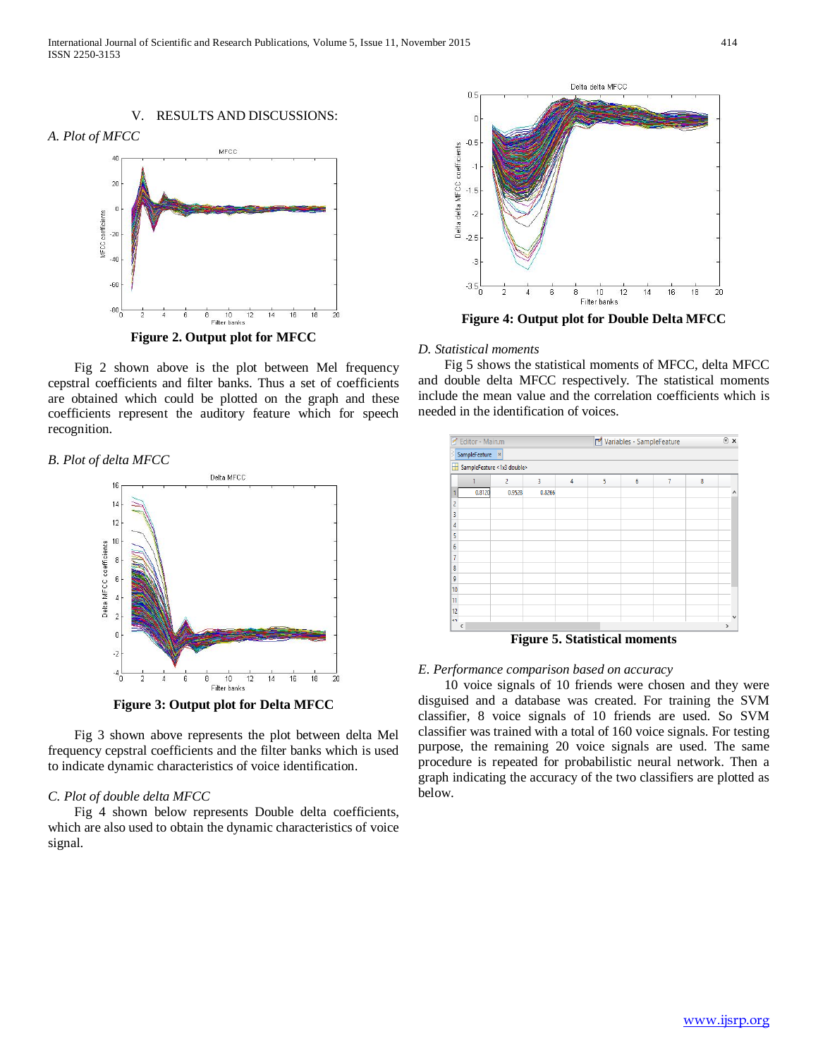

 Fig 2 shown above is the plot between Mel frequency cepstral coefficients and filter banks. Thus a set of coefficients are obtained which could be plotted on the graph and these coefficients represent the auditory feature which for speech recognition.

#### *B. Plot of delta MFCC*



**Figure 3: Output plot for Delta MFCC**

 Fig 3 shown above represents the plot between delta Mel frequency cepstral coefficients and the filter banks which is used to indicate dynamic characteristics of voice identification.

## *C. Plot of double delta MFCC*

 Fig 4 shown below represents Double delta coefficients, which are also used to obtain the dynamic characteristics of voice signal.



**Figure 4: Output plot for Double Delta MFCC**

#### *D. Statistical moments*

 Fig 5 shows the statistical moments of MFCC, delta MFCC and double delta MFCC respectively. The statistical moments include the mean value and the correlation coefficients which is needed in the identification of voices.



**Figure 5. Statistical moments**

## *E. Performance comparison based on accuracy*

 10 voice signals of 10 friends were chosen and they were disguised and a database was created. For training the SVM classifier, 8 voice signals of 10 friends are used. So SVM classifier was trained with a total of 160 voice signals. For testing purpose, the remaining 20 voice signals are used. The same procedure is repeated for probabilistic neural network. Then a graph indicating the accuracy of the two classifiers are plotted as below.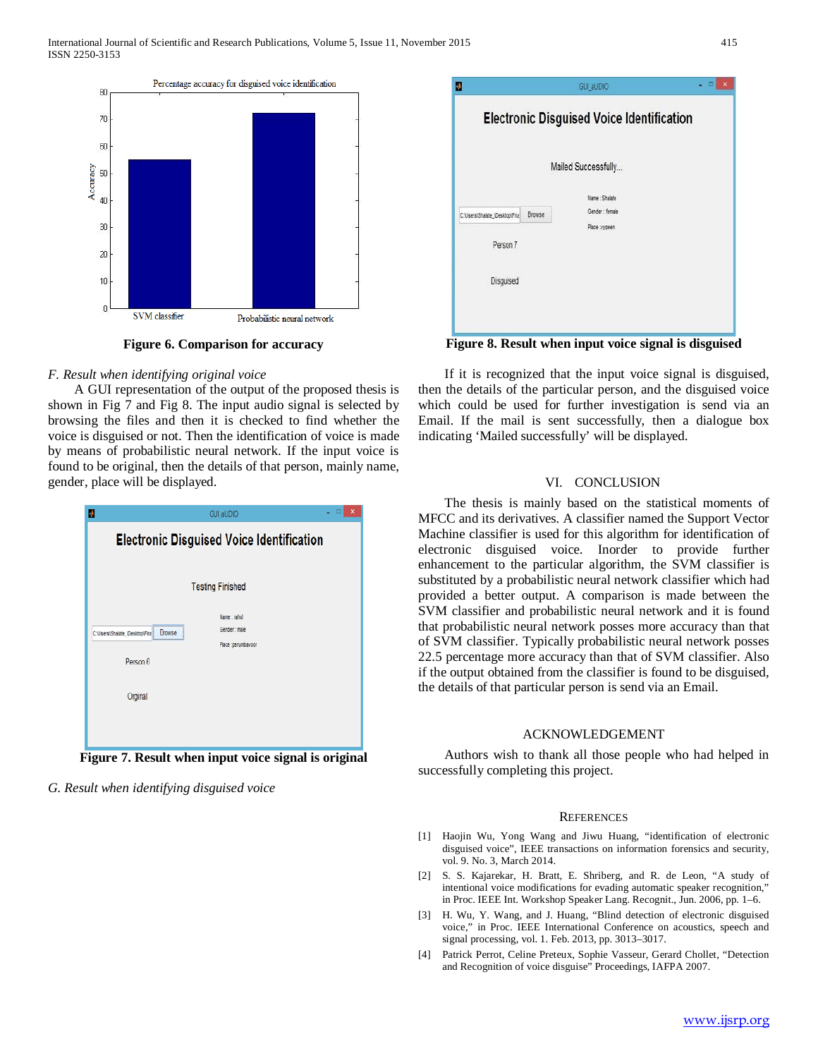

**Figure 6. Comparison for accuracy**

## *F. Result when identifying original voice*

 A GUI representation of the output of the proposed thesis is shown in Fig 7 and Fig 8. The input audio signal is selected by browsing the files and then it is checked to find whether the voice is disguised or not. Then the identification of voice is made by means of probabilistic neural network. If the input voice is found to be original, then the details of that person, mainly name, gender, place will be displayed.



*G. Result when identifying disguised voice* 

| <b>Electronic Disguised Voice Identification</b>                                |  |
|---------------------------------------------------------------------------------|--|
|                                                                                 |  |
| Mailed Successfully                                                             |  |
| Name: Shalate<br>Gender : female                                                |  |
| Place :vvpeen                                                                   |  |
|                                                                                 |  |
| <b>Browse</b><br>C:\Users\Shalate_\Desktop\Fina<br>Person 7<br><b>Disquised</b> |  |

**Figure 8. Result when input voice signal is disguised**

 If it is recognized that the input voice signal is disguised, then the details of the particular person, and the disguised voice which could be used for further investigation is send via an Email. If the mail is sent successfully, then a dialogue box indicating 'Mailed successfully' will be displayed.

# VI. CONCLUSION

 The thesis is mainly based on the statistical moments of MFCC and its derivatives. A classifier named the Support Vector Machine classifier is used for this algorithm for identification of electronic disguised voice. Inorder to provide further enhancement to the particular algorithm, the SVM classifier is substituted by a probabilistic neural network classifier which had provided a better output. A comparison is made between the SVM classifier and probabilistic neural network and it is found that probabilistic neural network posses more accuracy than that of SVM classifier. Typically probabilistic neural network posses 22.5 percentage more accuracy than that of SVM classifier. Also if the output obtained from the classifier is found to be disguised, the details of that particular person is send via an Email.

# ACKNOWLEDGEMENT

 Authors wish to thank all those people who had helped in successfully completing this project.

## **REFERENCES**

- [1] Haojin Wu, Yong Wang and Jiwu Huang, "identification of electronic disguised voice", IEEE transactions on information forensics and security, vol. 9. No. 3, March 2014.
- [2] S. S. Kajarekar, H. Bratt, E. Shriberg, and R. de Leon, "A study of intentional voice modifications for evading automatic speaker recognition," in Proc. IEEE Int. Workshop Speaker Lang. Recognit., Jun. 2006, pp. 1–6.
- [3] H. Wu, Y. Wang, and J. Huang, "Blind detection of electronic disguised voice," in Proc. IEEE International Conference on acoustics, speech and signal processing, vol. 1. Feb. 2013, pp. 3013–3017.
- [4] Patrick Perrot, Celine Preteux, Sophie Vasseur, Gerard Chollet, "Detection and Recognition of voice disguise" Proceedings, IAFPA 2007.